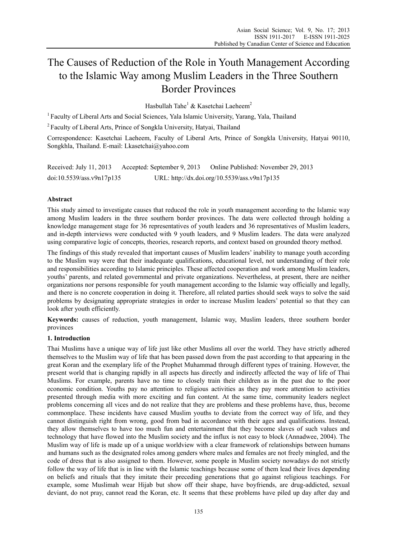# The Causes of Reduction of the Role in Youth Management According to the Islamic Way among Muslim Leaders in the Three Southern Border Provinces

Hasbullah Tahe<sup>1</sup> & Kasetchai Laeheem<sup>2</sup>

<sup>1</sup> Faculty of Liberal Arts and Social Sciences, Yala Islamic University, Yarang, Yala, Thailand

2 Faculty of Liberal Arts, Prince of Songkla University, Hatyai, Thailand

Correspondence: Kasetchai Laeheem, Faculty of Liberal Arts, Prince of Songkla University, Hatyai 90110, Songkhla, Thailand. E-mail: Lkasetchai@yahoo.com

Received: July 11, 2013 Accepted: September 9, 2013 Online Published: November 29, 2013 doi:10.5539/ass.v9n17p135 URL: http://dx.doi.org/10.5539/ass.v9n17p135

# **Abstract**

This study aimed to investigate causes that reduced the role in youth management according to the Islamic way among Muslim leaders in the three southern border provinces. The data were collected through holding a knowledge management stage for 36 representatives of youth leaders and 36 representatives of Muslim leaders, and in-depth interviews were conducted with 9 youth leaders, and 9 Muslim leaders. The data were analyzed using comparative logic of concepts, theories, research reports, and context based on grounded theory method.

The findings of this study revealed that important causes of Muslim leaders' inability to manage youth according to the Muslim way were that their inadequate qualifications, educational level, not understanding of their role and responsibilities according to Islamic principles. These affected cooperation and work among Muslim leaders, youths' parents, and related governmental and private organizations. Nevertheless, at present, there are neither organizations nor persons responsible for youth management according to the Islamic way officially and legally, and there is no concrete cooperation in doing it. Therefore, all related parties should seek ways to solve the said problems by designating appropriate strategies in order to increase Muslim leaders' potential so that they can look after youth efficiently.

**Keywords:** causes of reduction, youth management, Islamic way, Muslim leaders, three southern border provinces

# **1. Introduction**

Thai Muslims have a unique way of life just like other Muslims all over the world. They have strictly adhered themselves to the Muslim way of life that has been passed down from the past according to that appearing in the great Koran and the exemplary life of the Prophet Muhammad through different types of training. However, the present world that is changing rapidly in all aspects has directly and indirectly affected the way of life of Thai Muslims. For example, parents have no time to closely train their children as in the past due to the poor economic condition. Youths pay no attention to religious activities as they pay more attention to activities presented through media with more exciting and fun content. At the same time, community leaders neglect problems concerning all vices and do not realize that they are problems and these problems have, thus, become commonplace. These incidents have caused Muslim youths to deviate from the correct way of life, and they cannot distinguish right from wrong, good from bad in accordance with their ages and qualifications. Instead, they allow themselves to have too much fun and entertainment that they become slaves of such values and technology that have flowed into the Muslim society and the influx is not easy to block (Annadwee, 2004). The Muslim way of life is made up of a unique worldview with a clear framework of relationships between humans and humans such as the designated roles among genders where males and females are not freely mingled, and the code of dress that is also assigned to them. However, some people in Muslim society nowadays do not strictly follow the way of life that is in line with the Islamic teachings because some of them lead their lives depending on beliefs and rituals that they imitate their preceding generations that go against religious teachings. For example, some Muslimah wear Hijab but show off their shape, have boyfriends, are drug-addicted, sexual deviant, do not pray, cannot read the Koran, etc. It seems that these problems have piled up day after day and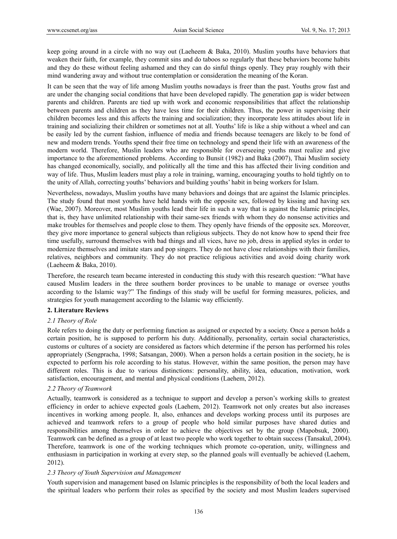keep going around in a circle with no way out (Laeheem & Baka, 2010). Muslim youths have behaviors that weaken their faith, for example, they commit sins and do taboos so regularly that these behaviors become habits and they do these without feeling ashamed and they can do sinful things openly. They pray roughly with their mind wandering away and without true contemplation or consideration the meaning of the Koran.

It can be seen that the way of life among Muslim youths nowadays is freer than the past. Youths grow fast and are under the changing social conditions that have been developed rapidly. The generation gap is wider between parents and children. Parents are tied up with work and economic responsibilities that affect the relationship between parents and children as they have less time for their children. Thus, the power in supervising their children becomes less and this affects the training and socialization; they incorporate less attitudes about life in training and socializing their children or sometimes not at all. Youths' life is like a ship without a wheel and can be easily led by the current fashion, influence of media and friends because teenagers are likely to be fond of new and modern trends. Youths spend their free time on technology and spend their life with an awareness of the modern world. Therefore, Muslin leaders who are responsible for overseeing youths must realize and give importance to the aforementioned problems. According to Bunsit (1982) and Baka (2007), Thai Muslim society has changed economically, socially, and politically all the time and this has affected their living condition and way of life. Thus, Muslim leaders must play a role in training, warning, encouraging youths to hold tightly on to the unity of Allah, correcting youths' behaviors and building youths' habit in being workers for Islam.

Nevertheless, nowadays, Muslim youths have many behaviors and doings that are against the Islamic principles. The study found that most youths have held hands with the opposite sex, followed by kissing and having sex (Wae, 2007). Moreover, most Muslim youths lead their life in such a way that is against the Islamic principles, that is, they have unlimited relationship with their same-sex friends with whom they do nonsense activities and make troubles for themselves and people close to them. They openly have friends of the opposite sex. Moreover, they give more importance to general subjects than religious subjects. They do not know how to spend their free time usefully, surround themselves with bad things and all vices, have no job, dress in applied styles in order to modernize themselves and imitate stars and pop singers. They do not have close relationships with their families, relatives, neighbors and community. They do not practice religious activities and avoid doing charity work (Laeheem & Baka, 2010).

Therefore, the research team became interested in conducting this study with this research question: "What have caused Muslim leaders in the three southern border provinces to be unable to manage or oversee youths according to the Islamic way?" The findings of this study will be useful for forming measures, policies, and strategies for youth management according to the Islamic way efficiently.

# **2. Literature Reviews**

# *2.1 Theory of Role*

Role refers to doing the duty or performing function as assigned or expected by a society. Once a person holds a certain position, he is supposed to perform his duty. Additionally, personality, certain social characteristics, customs or cultures of a society are considered as factors which determine if the person has performed his roles appropriately (Sengpracha, 1998; Satsangan, 2000). When a person holds a certain position in the society, he is expected to perform his role according to his status. However, within the same position, the person may have different roles. This is due to various distinctions: personality, ability, idea, education, motivation, work satisfaction, encouragement, and mental and physical conditions (Laehem, 2012).

# *2.2 Theory of Teamwork*

Actually, teamwork is considered as a technique to support and develop a person's working skills to greatest efficiency in order to achieve expected goals (Laehem, 2012). Teamwork not only creates but also increases incentives in working among people. It, also, enhances and develops working process until its purposes are achieved and teamwork refers to a group of people who hold similar purposes have shared duties and responsibilities among themselves in order to achieve the objectives set by the group (Mapobsuk, 2000). Teamwork can be defined as a group of at least two people who work together to obtain success (Tansakul, 2004). Therefore, teamwork is one of the working techniques which promote co-operation, unity, willingness and enthusiasm in participation in working at every step, so the planned goals will eventually be achieved (Laehem, 2012).

# *2.3 Theory of Youth Supervision and Management*

Youth supervision and management based on Islamic principles is the responsibility of both the local leaders and the spiritual leaders who perform their roles as specified by the society and most Muslim leaders supervised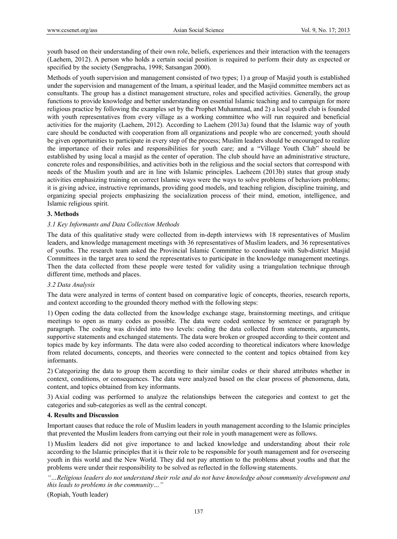youth based on their understanding of their own role, beliefs, experiences and their interaction with the teenagers (Laehem, 2012). A person who holds a certain social position is required to perform their duty as expected or specified by the society (Sengpracha, 1998; Satsangan 2000).

Methods of youth supervision and management consisted of two types; 1) a group of Masjid youth is established under the supervision and management of the Imam, a spiritual leader, and the Masjid committee members act as consultants. The group has a distinct management structure, roles and specified activities. Generally, the group functions to provide knowledge and better understanding on essential Islamic teaching and to campaign for more religious practice by following the examples set by the Prophet Muhammad, and 2) a local youth club is founded with youth representatives from every village as a working committee who will run required and beneficial activities for the majority (Laehem, 2012). According to Laehem (2013a) found that the Islamic way of youth care should be conducted with cooperation from all organizations and people who are concerned; youth should be given opportunities to participate in every step of the process; Muslim leaders should be encouraged to realize the importance of their roles and responsibilities for youth care; and a "Village Youth Club" should be established by using local a masjid as the center of operation. The club should have an administrative structure, concrete roles and responsibilities, and activities both in the religious and the social sectors that correspond with needs of the Muslim youth and are in line with Islamic principles. Laeheem (2013b) states that group study activities emphasizing training on correct Islamic ways were the ways to solve problems of behaviors problems; it is giving advice, instructive reprimands, providing good models, and teaching religion, discipline training, and organizing special projects emphasizing the socialization process of their mind, emotion, intelligence, and Islamic religious spirit.

# **3. Methods**

# *3.1 Key Informants and Data Collection Methods*

The data of this qualitative study were collected from in-depth interviews with 18 representatives of Muslim leaders, and knowledge management meetings with 36 representatives of Muslim leaders, and 36 representatives of youths. The research team asked the Provincial Islamic Committee to coordinate with Sub-district Masjid Committees in the target area to send the representatives to participate in the knowledge management meetings. Then the data collected from these people were tested for validity using a triangulation technique through different time, methods and places.

## *3.2 Data Analysis*

The data were analyzed in terms of content based on comparative logic of concepts, theories, research reports, and context according to the grounded theory method with the following steps:

1) Open coding the data collected from the knowledge exchange stage, brainstorming meetings, and critique meetings to open as many codes as possible. The data were coded sentence by sentence or paragraph by paragraph. The coding was divided into two levels: coding the data collected from statements, arguments, supportive statements and exchanged statements. The data were broken or grouped according to their content and topics made by key informants. The data were also coded according to theoretical indicators where knowledge from related documents, concepts, and theories were connected to the content and topics obtained from key informants.

2) Categorizing the data to group them according to their similar codes or their shared attributes whether in context, conditions, or consequences. The data were analyzed based on the clear process of phenomena, data, content, and topics obtained from key informants.

3) Axial coding was performed to analyze the relationships between the categories and context to get the categories and sub-categories as well as the central concept.

## **4. Results and Discussion**

Important causes that reduce the role of Muslim leaders in youth management according to the Islamic principles that prevented the Muslim leaders from carrying out their role in youth management were as follows.

1) Muslim leaders did not give importance to and lacked knowledge and understanding about their role according to the Islamic principles that it is their role to be responsible for youth management and for overseeing youth in this world and the New World. They did not pay attention to the problems about youths and that the problems were under their responsibility to be solved as reflected in the following statements.

*"…Religious leaders do not understand their role and do not have knowledge about community development and this leads to problems in the community…"* 

(Ropiah, Youth leader)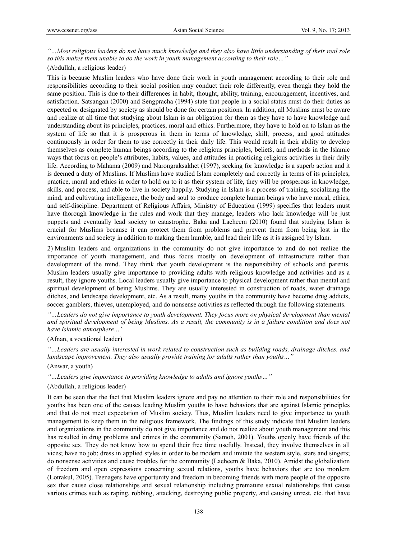# *"…Most religious leaders do not have much knowledge and they also have little understanding of their real role so this makes them unable to do the work in youth management according to their role…"*

## (Abdullah, a religious leader)

This is because Muslim leaders who have done their work in youth management according to their role and responsibilities according to their social position may conduct their role differently, even though they hold the same position. This is due to their differences in habit, thought, ability, training, encouragement, incentives, and satisfaction. Satsangan (2000) and Sengpracha (1994) state that people in a social status must do their duties as expected or designated by society as should be done for certain positions. In addition, all Muslims must be aware and realize at all time that studying about Islam is an obligation for them as they have to have knowledge and understanding about its principles, practices, moral and ethics. Furthermore, they have to hold on to Islam as the system of life so that it is prosperous in them in terms of knowledge, skill, process, and good attitudes continuously in order for them to use correctly in their daily life. This would result in their ability to develop themselves as complete human beings according to the religious principles, beliefs, and methods in the Islamic ways that focus on people's attributes, habits, values, and attitudes in practicing religious activities in their daily life. According to Mahama (2009) and Narongraksakhet (1997), seeking for knowledge is a superb action and it is deemed a duty of Muslims. If Muslims have studied Islam completely and correctly in terms of its principles, practice, moral and ethics in order to hold on to it as their system of life, they will be prosperous in knowledge, skills, and process, and able to live in society happily. Studying in Islam is a process of training, socializing the mind, and cultivating intelligence, the body and soul to produce complete human beings who have moral, ethics, and self-discipline. Department of Religious Affairs, Ministry of Education (1999) specifies that leaders must have thorough knowledge in the rules and work that they manage; leaders who lack knowledge will be just puppets and eventually lead society to catastrophe. Baka and Laeheem (2010) found that studying Islam is crucial for Muslims because it can protect them from problems and prevent them from being lost in the environments and society in addition to making them humble, and lead their life as it is assigned by Islam.

2) Muslim leaders and organizations in the community do not give importance to and do not realize the importance of youth management, and thus focus mostly on development of infrastructure rather than development of the mind. They think that youth development is the responsibility of schools and parents. Muslim leaders usually give importance to providing adults with religious knowledge and activities and as a result, they ignore youths. Local leaders usually give importance to physical development rather than mental and spiritual development of being Muslims. They are usually interested in construction of roads, water drainage ditches, and landscape development, etc. As a result, many youths in the community have become drug addicts, soccer gamblers, thieves, unemployed, and do nonsense activities as reflected through the following statements.

*"…Leaders do not give importance to youth development. They focus more on physical development than mental and spiritual development of being Muslims. As a result, the community is in a failure condition and does not have Islamic atmosphere…"* 

## (Afnan, a vocational leader)

*"…Leaders are usually interested in work related to construction such as building roads, drainage ditches, and landscape improvement. They also usually provide training for adults rather than youths…"* 

# (Anwar, a youth)

*"…Leaders give importance to providing knowledge to adults and ignore youths…"* 

### (Abdullah, a religious leader)

It can be seen that the fact that Muslim leaders ignore and pay no attention to their role and responsibilities for youths has been one of the causes leading Muslim youths to have behaviors that are against Islamic principles and that do not meet expectation of Muslim society. Thus, Muslim leaders need to give importance to youth management to keep them in the religious framework. The findings of this study indicate that Muslim leaders and organizations in the community do not give importance and do not realize about youth management and this has resulted in drug problems and crimes in the community (Samoh, 2001). Youths openly have friends of the opposite sex. They do not know how to spend their free time usefully. Instead, they involve themselves in all vices; have no job; dress in applied styles in order to be modern and imitate the western style, stars and singers; do nonsense activities and cause troubles for the community (Laeheem & Baka, 2010). Amidst the globalization of freedom and open expressions concerning sexual relations, youths have behaviors that are too mordern (Lotrakul, 2005). Teenagers have opportunity and freedom in becoming friends with more people of the opposite sex that cause close relationships and sexual relationship including premature sexual relationships that cause various crimes such as raping, robbing, attacking, destroying public property, and causing unrest, etc. that have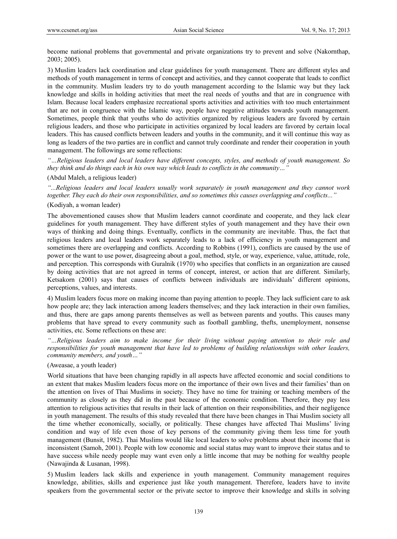become national problems that governmental and private organizations try to prevent and solve (Nakornthap, 2003; 2005).

3) Muslim leaders lack coordination and clear guidelines for youth management. There are different styles and methods of youth management in terms of concept and activities, and they cannot cooperate that leads to conflict in the community. Muslim leaders try to do youth management according to the Islamic way but they lack knowledge and skills in holding activities that meet the real needs of youths and that are in congruence with Islam. Because local leaders emphasize recreational sports activities and activities with too much entertainment that are not in congruence with the Islamic way, people have negative attitudes towards youth management. Sometimes, people think that youths who do activities organized by religious leaders are favored by certain religious leaders, and those who participate in activities organized by local leaders are favored by certain local leaders. This has caused conflicts between leaders and youths in the community, and it will continue this way as long as leaders of the two parties are in conflict and cannot truly coordinate and render their cooperation in youth management. The followings are some reflections:

*"…Religious leaders and local leaders have different concepts, styles, and methods of youth management. So they think and do things each in his own way which leads to conflicts in the community...* 

## (Abdul Maleh, a religious leader)

*"...Religious leaders and local leaders usually work separately in youth management and they cannot work together. They each do their own responsibilities, and so sometimes this causes overlapping and conflicts..."* 

# (Kodiyah, a woman leader)

The abovementioned causes show that Muslim leaders cannot coordinate and cooperate, and they lack clear guidelines for youth management. They have different styles of youth management and they have their own ways of thinking and doing things. Eventually, conflicts in the community are inevitable. Thus, the fact that religious leaders and local leaders work separately leads to a lack of efficiency in youth management and sometimes there are overlapping and conflicts. According to Robbins (1991), conflicts are caused by the use of power or the want to use power, disagreeing about a goal, method, style, or way, experience, value, attitude, role, and perception. This corresponds with Guralnik (1970) who specifies that conflicts in an organization are caused by doing activities that are not agreed in terms of concept, interest, or action that are different. Similarly, Ketsakorn (2001) says that causes of conflicts between individuals are individuals' different opinions, perceptions, values, and interests.

4) Muslim leaders focus more on making income than paying attention to people. They lack sufficient care to ask how people are; they lack interaction among leaders themselves; and they lack interaction in their own families, and thus, there are gaps among parents themselves as well as between parents and youths. This causes many problems that have spread to every community such as football gambling, thefts, unemployment, nonsense activities, etc. Some reflections on these are:

*"…Religious leaders aim to make income for their living without paying attention to their role and responsibilities for youth management that have led to problems of building relationships with other leaders, community members, and youth…"* 

## (Aweasae, a youth leader)

World situations that have been changing rapidly in all aspects have affected economic and social conditions to an extent that makes Muslim leaders focus more on the importance of their own lives and their families' than on the attention on lives of Thai Muslims in society. They have no time for training or teaching members of the community as closely as they did in the past because of the economic condition. Therefore, they pay less attention to religious activities that results in their lack of attention on their responsibilities, and their negligence in youth management. The results of this study revealed that there have been changes in Thai Muslim society all the time whether economically, socially, or politically. These changes have affected Thai Muslims' living condition and way of life even those of key persons of the community giving them less time for youth management (Bunsit, 1982). Thai Muslims would like local leaders to solve problems about their income that is inconsistent (Samoh, 2001). People with low economic and social status may want to improve their status and to have success while needy people may want even only a little income that may be nothing for wealthy people (Nawajinda & Lusanan, 1998).

5) Muslim leaders lack skills and experience in youth management. Community management requires knowledge, abilities, skills and experience just like youth management. Therefore, leaders have to invite speakers from the governmental sector or the private sector to improve their knowledge and skills in solving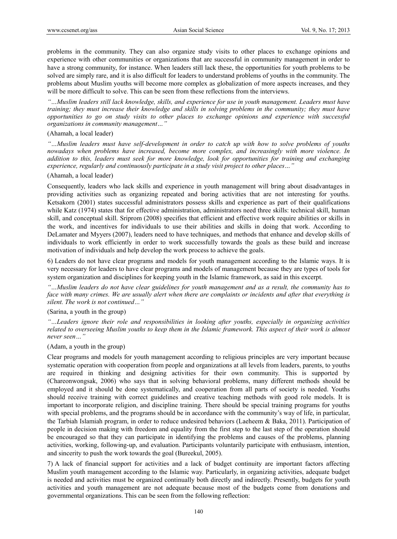problems in the community. They can also organize study visits to other places to exchange opinions and experience with other communities or organizations that are successful in community management in order to have a strong community, for instance. When leaders still lack these, the opportunities for youth problems to be solved are simply rare, and it is also difficult for leaders to understand problems of youths in the community. The problems about Muslim youths will become more complex as globalization of more aspects increases, and they will be more difficult to solve. This can be seen from these reflections from the interviews.

*"…Muslim leaders still lack knowledge, skills, and experience for use in youth management. Leaders must have training; they must increase their knowledge and skills in solving problems in the community; they must have opportunities to go on study visits to other places to exchange opinions and experience with successful organizations in community management…"* 

## (Ahamah, a local leader)

*"…Muslim leaders must have self-development in order to catch up with how to solve problems of youths nowadays when problems have increased, become more complex, and increasingly with more violence. In addition to this, leaders must seek for more knowledge, look for opportunities for training and exchanging experience, regularly and continuously participate in a study visit project to other places…"* 

## (Ahamah, a local leader)

Consequently, leaders who lack skills and experience in youth management will bring about disadvantages in providing activities such as organizing repeated and boring activities that are not interesting for youths. Ketsakorn (2001) states successful administrators possess skills and experience as part of their qualifications while Katz (1974) states that for effective administration, administrators need three skills: technical skill, human skill, and conceptual skill. Sriprom (2008) specifies that efficient and effective work require abilities or skills in the work, and incentives for individuals to use their abilities and skills in doing that work. According to DeLamater and Myyers (2007), leaders need to have techniques, and methods that enhance and develop skills of individuals to work efficiently in order to work successfully towards the goals as these build and increase motivation of individuals and help develop the work process to achieve the goals.

6) Leaders do not have clear programs and models for youth management according to the Islamic ways. It is very necessary for leaders to have clear programs and models of management because they are types of tools for system organization and disciplines for keeping youth in the Islamic framework, as said in this excerpt.

*"…Muslim leaders do not have clear guidelines for youth management and as a result, the community has to face with many crimes. We are usually alert when there are complaints or incidents and after that everything is silent. The work is not continued…"* 

## (Sarina, a youth in the group)

*"…Leaders ignore their role and responsibilities in looking after youths, especially in organizing activities related to overseeing Muslim youths to keep them in the Islamic framework. This aspect of their work is almost never seen…"* 

### (Adam, a youth in the group)

Clear programs and models for youth management according to religious principles are very important because systematic operation with cooperation from people and organizations at all levels from leaders, parents, to youths are required in thinking and designing activities for their own community. This is supported by (Chareonwongsak, 2006) who says that in solving behavioral problems, many different methods should be employed and it should be done systematically, and cooperation from all parts of society is needed. Youths should receive training with correct guidelines and creative teaching methods with good role models. It is important to incorporate religion, and discipline training. There should be special training programs for youths with special problems, and the programs should be in accordance with the community's way of life, in particular, the Tarbiah Islamiah program, in order to reduce undesired behaviors (Laeheem & Baka, 2011). Participation of people in decision making with freedom and equality from the first step to the last step of the operation should be encouraged so that they can participate in identifying the problems and causes of the problems, planning activities, working, following-up, and evaluation. Participants voluntarily participate with enthusiasm, intention, and sincerity to push the work towards the goal (Bureekul, 2005).

7) A lack of financial support for activities and a lack of budget continuity are important factors affecting Muslim youth management according to the Islamic way. Particularly, in organizing activities, adequate budget is needed and activities must be organized continually both directly and indirectly. Presently, budgets for youth activities and youth management are not adequate because most of the budgets come from donations and governmental organizations. This can be seen from the following reflection: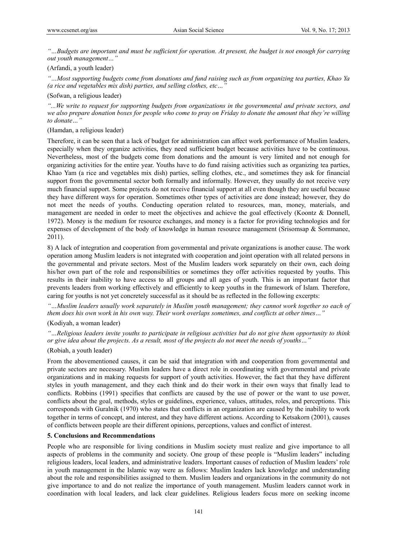*"…Budgets are important and must be sufficient for operation. At present, the budget is not enough for carrying out youth management…"* 

# (Arfandi, a youth leader)

*"…Most supporting budgets come from donations and fund raising such as from organizing tea parties, Khao Ya (a rice and vegetables mix dish) parties, and selling clothes, etc…"* 

# (Sofwan, a religious leader)

*"...We write to request for supporting budgets from organizations in the governmental and private sectors, and we also prepare donation boxes for people who come to pray on Friday to donate the amount that they're willing to donate…"* 

## (Hamdan, a religious leader)

Therefore, it can be seen that a lack of budget for administration can affect work performance of Muslim leaders, especially when they organize activities, they need sufficient budget because activities have to be continuous. Nevertheless, most of the budgets come from donations and the amount is very limited and not enough for organizing activities for the entire year. Youths have to do fund raising activities such as organizing tea parties, Khao Yam (a rice and vegetables mix dish) parties, selling clothes, etc., and sometimes they ask for financial support from the governmental sector both formally and informally. However, they usually do not receive very much financial support. Some projects do not receive financial support at all even though they are useful because they have different ways for operation. Sometimes other types of activities are done instead; however, they do not meet the needs of youths. Conducting operation related to resources, man, money, materials, and management are needed in order to meet the objectives and achieve the goal effectively (Koontz & Donnell, 1972). Money is the medium for resource exchanges, and money is a factor for providing technologies and for expenses of development of the body of knowledge in human resource management (Srisomsap & Sornmanee, 2011).

8) A lack of integration and cooperation from governmental and private organizations is another cause. The work operation among Muslim leaders is not integrated with cooperation and joint operation with all related persons in the governmental and private sectors. Most of the Muslim leaders work separately on their own, each doing his/her own part of the role and responsibilities or sometimes they offer activities requested by youths. This results in their inability to have access to all groups and all ages of youth. This is an important factor that prevents leaders from working effectively and efficiently to keep youths in the framework of Islam. Therefore, caring for youths is not yet concretely successful as it should be as reflected in the following excerpts:

*"…Muslim leaders usually work separately in Muslim youth management; they cannot work together so each of them does his own work in his own way. Their work overlaps sometimes, and conflicts at other times…"* 

# (Kodiyah, a woman leader)

*"…Religious leaders invite youths to participate in religious activities but do not give them opportunity to think or give idea about the projects. As a result, most of the projects do not meet the needs of youths…"*  (Robiah, a youth leader)

From the abovementioned causes, it can be said that integration with and cooperation from governmental and private sectors are necessary. Muslim leaders have a direct role in coordinating with governmental and private organizations and in making requests for support of youth activities. However, the fact that they have different styles in youth management, and they each think and do their work in their own ways that finally lead to conflicts. Robbins (1991) specifies that conflicts are caused by the use of power or the want to use power, conflicts about the goal, methods, styles or guidelines, experience, values, attitudes, roles, and perceptions. This corresponds with Guralnik (1970) who states that conflicts in an organization are caused by the inability to work together in terms of concept, and interest, and they have different actions. According to Ketsakorn (2001), causes of conflicts between people are their different opinions, perceptions, values and conflict of interest.

### **5. Conclusions and Recommendations**

People who are responsible for living conditions in Muslim society must realize and give importance to all aspects of problems in the community and society. One group of these people is "Muslim leaders" including religious leaders, local leaders, and administrative leaders. Important causes of reduction of Muslim leaders' role in youth management in the Islamic way were as follows: Muslim leaders lack knowledge and understanding about the role and responsibilities assigned to them. Muslim leaders and organizations in the community do not give importance to and do not realize the importance of youth management. Muslim leaders cannot work in coordination with local leaders, and lack clear guidelines. Religious leaders focus more on seeking income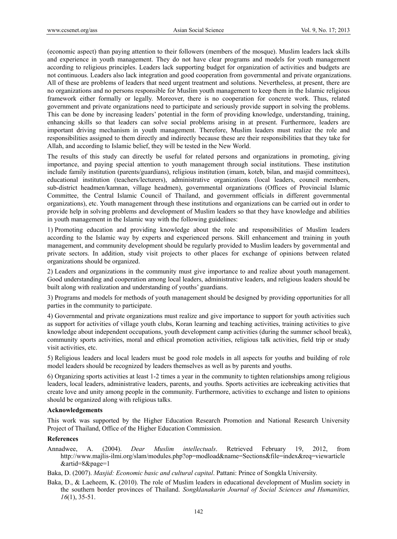(economic aspect) than paying attention to their followers (members of the mosque). Muslim leaders lack skills and experience in youth management. They do not have clear programs and models for youth management according to religious principles. Leaders lack supporting budget for organization of activities and budgets are not continuous. Leaders also lack integration and good cooperation from governmental and private organizations. All of these are problems of leaders that need urgent treatment and solutions. Nevertheless, at present, there are no organizations and no persons responsible for Muslim youth management to keep them in the Islamic religious framework either formally or legally. Moreover, there is no cooperation for concrete work. Thus, related government and private organizations need to participate and seriously provide support in solving the problems. This can be done by increasing leaders' potential in the form of providing knowledge, understanding, training, enhancing skills so that leaders can solve social problems arising in at present. Furthermore, leaders are important driving mechanism in youth management. Therefore, Muslim leaders must realize the role and responsibilities assigned to them directly and indirectly because these are their responsibilities that they take for Allah, and according to Islamic belief, they will be tested in the New World.

The results of this study can directly be useful for related persons and organizations in promoting, giving importance, and paying special attention to youth management through social institutions. These institution include family institution (parents/guardians), religious institution (imam, koteb, bilan, and masjid committees), educational institution (teachers/lecturers), administrative organizations (local leaders, council members, sub-district headmen/kamnan, village headmen), governmental organizations (Offices of Provincial Islamic Committee, the Central Islamic Council of Thailand, and government officials in different governmental organizations), etc. Youth management through these institutions and organizations can be carried out in order to provide help in solving problems and development of Muslim leaders so that they have knowledge and abilities in youth management in the Islamic way with the following guidelines:

1) Promoting education and providing knowledge about the role and responsibilities of Muslim leaders according to the Islamic way by experts and experienced persons. Skill enhancement and training in youth management, and community development should be regularly provided to Muslim leaders by governmental and private sectors. In addition, study visit projects to other places for exchange of opinions between related organizations should be organized.

2) Leaders and organizations in the community must give importance to and realize about youth management. Good understanding and cooperation among local leaders, administrative leaders, and religious leaders should be built along with realization and understanding of youths' guardians.

3) Programs and models for methods of youth management should be designed by providing opportunities for all parties in the community to participate.

4) Governmental and private organizations must realize and give importance to support for youth activities such as support for activities of village youth clubs, Koran learning and teaching activities, training activities to give knowledge about independent occupations, youth development camp activities (during the summer school break), community sports activities, moral and ethical promotion activities, religious talk activities, field trip or study visit activities, etc.

5) Religious leaders and local leaders must be good role models in all aspects for youths and building of role model leaders should be recognized by leaders themselves as well as by parents and youths.

6) Organizing sports activities at least 1-2 times a year in the community to tighten relationships among religious leaders, local leaders, administrative leaders, parents, and youths. Sports activities are icebreaking activities that create love and unity among people in the community. Furthermore, activities to exchange and listen to opinions should be organized along with religious talks.

# **Acknowledgements**

This work was supported by the Higher Education Research Promotion and National Research University Project of Thailand, Office of the Higher Education Commission.

## **References**

Annadwee, A. (2004). *Dear Muslim intellectuals*. Retrieved February 19, 2012, from http://www.majlis-ilmi.org/slam/modules.php?op=modload&name=Sections&file=index&req=viewarticle &artid=8&page=1

Baka, D. (2007). *Masjid: Economic basic and cultural capital*. Pattani: Prince of Songkla University.

Baka, D., & Laeheem, K. (2010). The role of Muslim leaders in educational development of Muslim society in the southern border provinces of Thailand. *Songklanakarin Journal of Social Sciences and Humanities, 16*(1), 35-51.